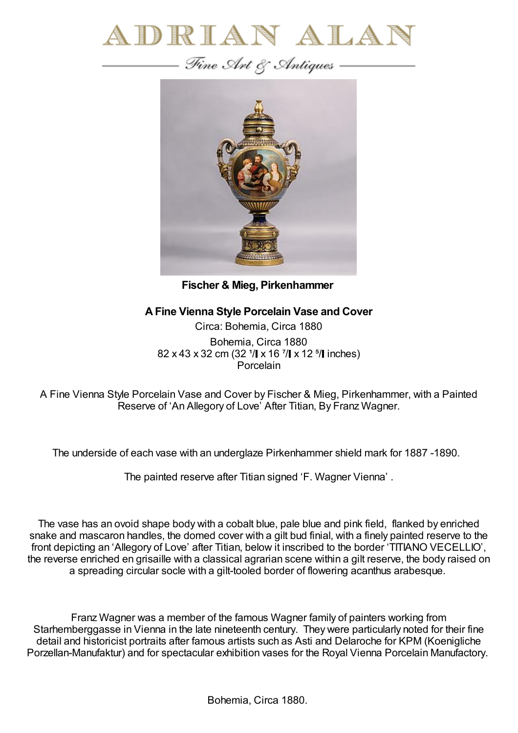



**Fischer & Mieg, Pirkenhammer**

## **AFine Vienna Style Porcelain Vase and Cover**

Circa: Bohemia, Circa 1880 Bohemia, Circa 1880 82 x 43 x 32 cm (32  $1/$  x 16  $1/$  x 12  $1/$  inches) **Porcelain** 

A Fine Vienna Style Porcelain Vase and Cover by Fischer & Mieg, Pirkenhammer, with a Painted Reserve of 'An Allegory of Love' After Titian, By Franz Wagner.

The underside of each vase with an underglaze Pirkenhammer shield mark for 1887 -1890.

The painted reserve after Titian signed 'F. Wagner Vienna' .

The vase has an ovoid shape body with a cobalt blue, pale blue and pink field, flanked by enriched snake and mascaron handles, the domed cover with a gilt bud finial, with a finely painted reserve to the front depicting an 'Allegory of Love' after Titian, below it inscribed to the border 'TITIANO VECELLIO', the reverse enriched en grisaille with a classical agrarian scene within a gilt reserve, the body raised on a spreading circular socle with a gilt-tooled border of flowering acanthus arabesque.

Franz Wagner was a member of the famous Wagner family of painters working from Starhemberggasse in Vienna in the late nineteenth century. They were particularly noted for their fine detail and historicist portraits after famous artists such as Asti and Delaroche for KPM (Koenigliche Porzellan-Manufaktur) and for spectacular exhibition vases for the Royal Vienna Porcelain Manufactory.